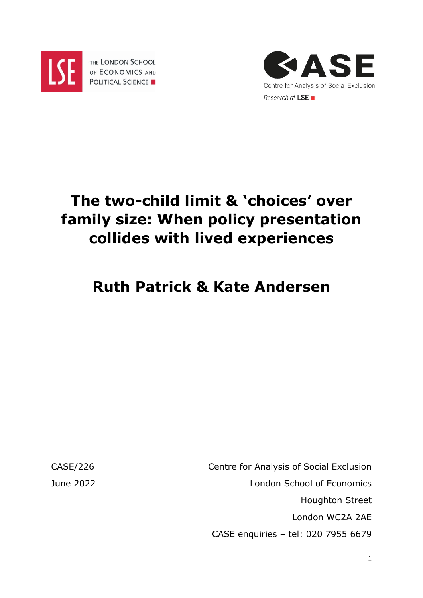

THE LONDON SCHOOL OF ECONOMICS AND **POLITICAL SCIENCE** 



# **The two-child limit & 'choices' over family size: When policy presentation collides with lived experiences**

# **Ruth Patrick & Kate Andersen**

CASE/226 Centre for Analysis of Social Exclusion June 2022 London School of Economics Houghton Street London WC2A 2AE CASE enquiries – tel: 020 7955 6679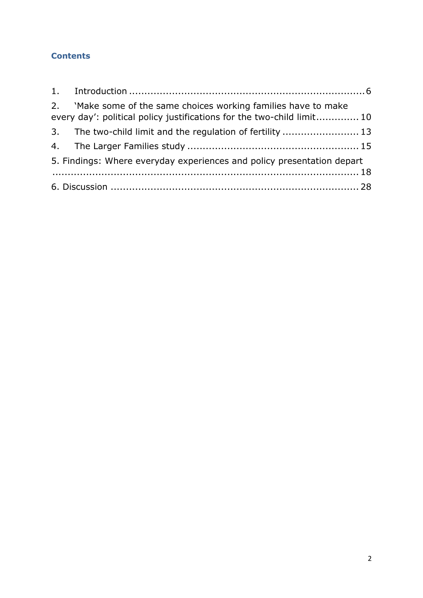#### **Contents**

|                                                                        | 2. 'Make some of the same choices working families have to make<br>every day': political policy justifications for the two-child limit 10 |  |
|------------------------------------------------------------------------|-------------------------------------------------------------------------------------------------------------------------------------------|--|
|                                                                        | 3. The two-child limit and the regulation of fertility  13                                                                                |  |
|                                                                        |                                                                                                                                           |  |
| 5. Findings: Where everyday experiences and policy presentation depart |                                                                                                                                           |  |
|                                                                        |                                                                                                                                           |  |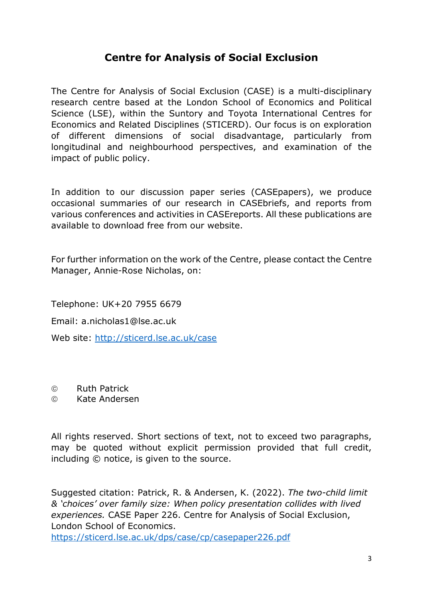## **Centre for Analysis of Social Exclusion**

The Centre for Analysis of Social Exclusion (CASE) is a multi*-*disciplinary research centre based at the London School of Economics and Political Science (LSE), within the Suntory and Toyota International Centres for Economics and Related Disciplines (STICERD). Our focus is on exploration of different dimensions of social disadvantage, particularly from longitudinal and neighbourhood perspectives, and examination of the impact of public policy.

In addition to our discussion paper series (CASEpapers), we produce occasional summaries of our research in CASEbriefs, and reports from various conferences and activities in CASEreports. All these publications are available to download free from our website.

For further information on the work of the Centre, please contact the Centre Manager, Annie-Rose Nicholas, on:

Telephone: UK+20 7955 6679 Email: a.nicholas1@lse.ac.uk

Web site:<http://sticerd.lse.ac.uk/case>

Ruth Patrick

Kate Andersen

All rights reserved. Short sections of text, not to exceed two paragraphs, may be quoted without explicit permission provided that full credit, including © notice, is given to the source.

Suggested citation: Patrick, R. & Andersen, K. (2022). *The two-child limit & 'choices' over family size: When policy presentation collides with lived experiences.* CASE Paper 226. Centre for Analysis of Social Exclusion, London School of Economics. <https://sticerd.lse.ac.uk/dps/case/cp/casepaper226.pdf>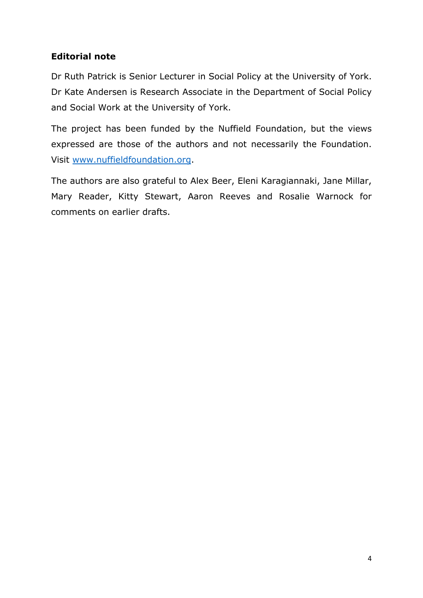#### **Editorial note**

Dr Ruth Patrick is Senior Lecturer in Social Policy at the University of York. Dr Kate Andersen is Research Associate in the Department of Social Policy and Social Work at the University of York.

The project has been funded by the Nuffield Foundation, but the views expressed are those of the authors and not necessarily the Foundation. Visit [www.nuffieldfoundation.org.](http://www.nuffieldfoundation.org/)

The authors are also grateful to Alex Beer, Eleni Karagiannaki, Jane Millar, Mary Reader, Kitty Stewart, Aaron Reeves and Rosalie Warnock for comments on earlier drafts.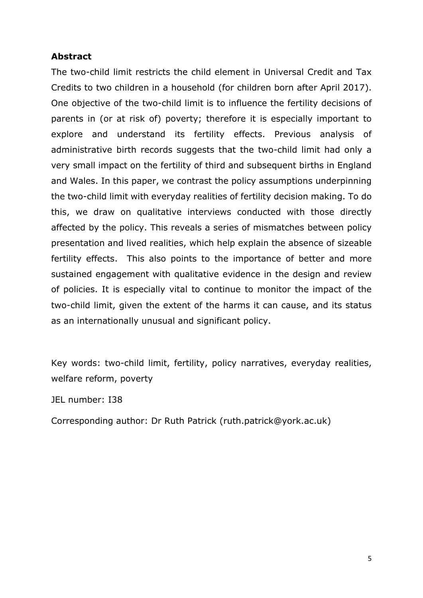#### **Abstract**

The two-child limit restricts the child element in Universal Credit and Tax Credits to two children in a household (for children born after April 2017). One objective of the two-child limit is to influence the fertility decisions of parents in (or at risk of) poverty; therefore it is especially important to explore and understand its fertility effects. Previous analysis of administrative birth records suggests that the two-child limit had only a very small impact on the fertility of third and subsequent births in England and Wales. In this paper, we contrast the policy assumptions underpinning the two-child limit with everyday realities of fertility decision making. To do this, we draw on qualitative interviews conducted with those directly affected by the policy. This reveals a series of mismatches between policy presentation and lived realities, which help explain the absence of sizeable fertility effects. This also points to the importance of better and more sustained engagement with qualitative evidence in the design and review of policies. It is especially vital to continue to monitor the impact of the two-child limit, given the extent of the harms it can cause, and its status as an internationally unusual and significant policy.

Key words: two-child limit, fertility, policy narratives, everyday realities, welfare reform, poverty

JEL number: I38

Corresponding author: Dr Ruth Patrick (ruth.patrick@york.ac.uk)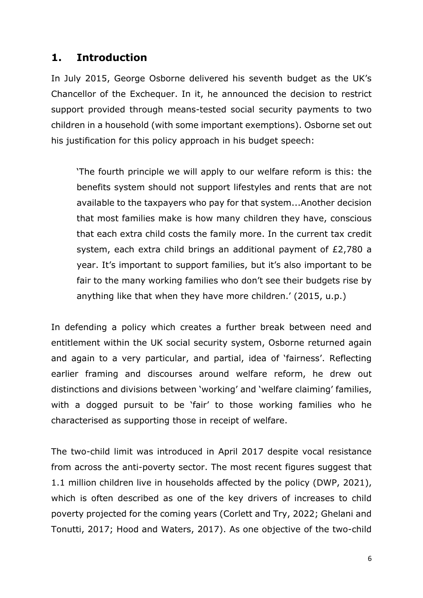### <span id="page-5-0"></span>**1. Introduction**

In July 2015, George Osborne delivered his seventh budget as the UK's Chancellor of the Exchequer. In it, he announced the decision to restrict support provided through means-tested social security payments to two children in a household (with some important exemptions). Osborne set out his justification for this policy approach in his budget speech:

'The fourth principle we will apply to our welfare reform is this: the benefits system should not support lifestyles and rents that are not available to the taxpayers who pay for that system...Another decision that most families make is how many children they have, conscious that each extra child costs the family more. In the current tax credit system, each extra child brings an additional payment of £2,780 a year. It's important to support families, but it's also important to be fair to the many working families who don't see their budgets rise by anything like that when they have more children.' (2015, u.p.)

In defending a policy which creates a further break between need and entitlement within the UK social security system, Osborne returned again and again to a very particular, and partial, idea of 'fairness'. Reflecting earlier framing and discourses around welfare reform, he drew out distinctions and divisions between 'working' and 'welfare claiming' families, with a dogged pursuit to be 'fair' to those working families who he characterised as supporting those in receipt of welfare.

The two-child limit was introduced in April 2017 despite vocal resistance from across the anti-poverty sector. The most recent figures suggest that 1.1 million children live in households affected by the policy (DWP, 2021), which is often described as one of the key drivers of increases to child poverty projected for the coming years (Corlett and Try, 2022; Ghelani and Tonutti, 2017; Hood and Waters, 2017). As one objective of the two-child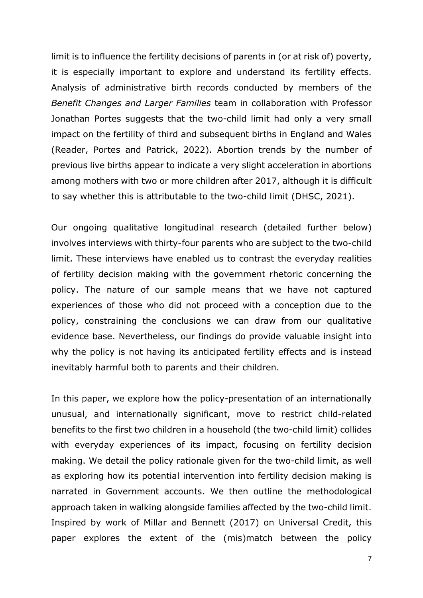limit is to influence the fertility decisions of parents in (or at risk of) poverty, it is especially important to explore and understand its fertility effects. Analysis of administrative birth records conducted by members of the *Benefit Changes and Larger Families* team in collaboration with Professor Jonathan Portes suggests that the two-child limit had only a very small impact on the fertility of third and subsequent births in England and Wales (Reader, Portes and Patrick, 2022). Abortion trends by the number of previous live births appear to indicate a very slight acceleration in abortions among mothers with two or more children after 2017, although it is difficult to say whether this is attributable to the two-child limit (DHSC, 2021).

Our ongoing qualitative longitudinal research (detailed further below) involves interviews with thirty-four parents who are subject to the two-child limit. These interviews have enabled us to contrast the everyday realities of fertility decision making with the government rhetoric concerning the policy. The nature of our sample means that we have not captured experiences of those who did not proceed with a conception due to the policy, constraining the conclusions we can draw from our qualitative evidence base. Nevertheless, our findings do provide valuable insight into why the policy is not having its anticipated fertility effects and is instead inevitably harmful both to parents and their children.

In this paper, we explore how the policy-presentation of an internationally unusual, and internationally significant, move to restrict child-related benefits to the first two children in a household (the two-child limit) collides with everyday experiences of its impact, focusing on fertility decision making. We detail the policy rationale given for the two-child limit, as well as exploring how its potential intervention into fertility decision making is narrated in Government accounts. We then outline the methodological approach taken in walking alongside families affected by the two-child limit. Inspired by work of Millar and Bennett (2017) on Universal Credit, this paper explores the extent of the (mis)match between the policy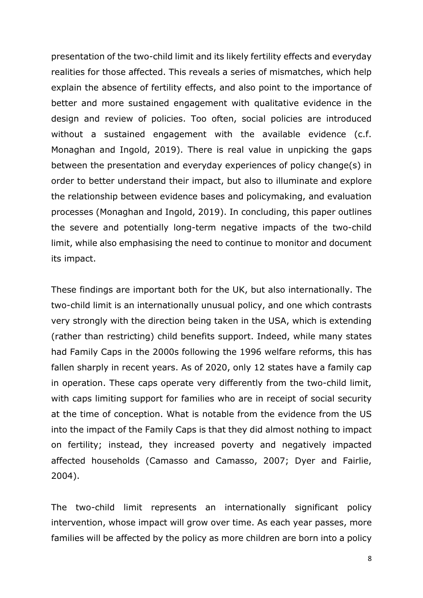presentation of the two-child limit and its likely fertility effects and everyday realities for those affected. This reveals a series of mismatches, which help explain the absence of fertility effects, and also point to the importance of better and more sustained engagement with qualitative evidence in the design and review of policies. Too often, social policies are introduced without a sustained engagement with the available evidence (c.f. Monaghan and Ingold, 2019). There is real value in unpicking the gaps between the presentation and everyday experiences of policy change(s) in order to better understand their impact, but also to illuminate and explore the relationship between evidence bases and policymaking, and evaluation processes (Monaghan and Ingold, 2019). In concluding, this paper outlines the severe and potentially long-term negative impacts of the two-child limit, while also emphasising the need to continue to monitor and document its impact.

These findings are important both for the UK, but also internationally. The two-child limit is an internationally unusual policy, and one which contrasts very strongly with the direction being taken in the USA, which is extending (rather than restricting) child benefits support. Indeed, while many states had Family Caps in the 2000s following the 1996 welfare reforms, this has fallen sharply in recent years. As of 2020, only 12 states have a family cap in operation. These caps operate very differently from the two-child limit, with caps limiting support for families who are in receipt of social security at the time of conception. What is notable from the evidence from the US into the impact of the Family Caps is that they did almost nothing to impact on fertility; instead, they increased poverty and negatively impacted affected households (Camasso and Camasso, 2007; Dyer and Fairlie, 2004).

The two-child limit represents an internationally significant policy intervention, whose impact will grow over time. As each year passes, more families will be affected by the policy as more children are born into a policy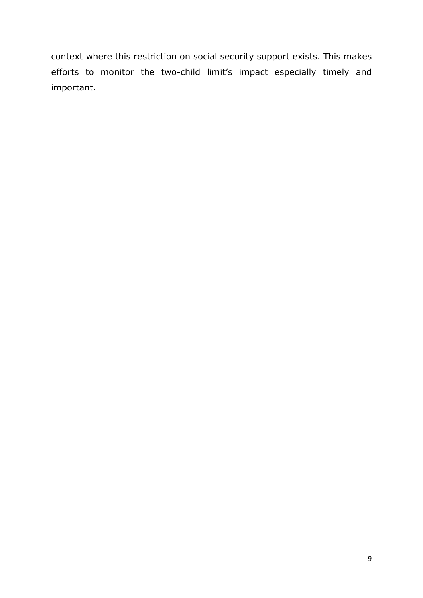context where this restriction on social security support exists. This makes efforts to monitor the two-child limit's impact especially timely and important.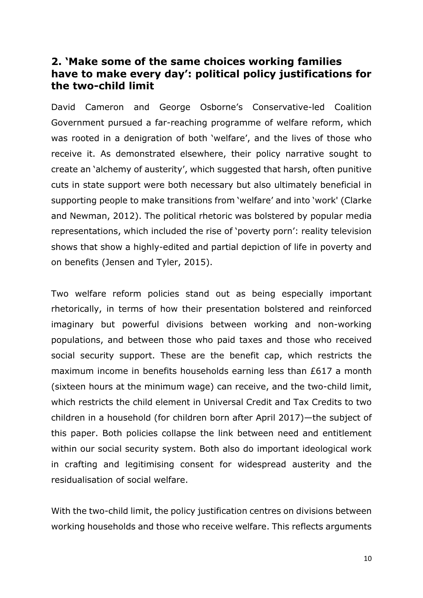### <span id="page-9-0"></span>**2. 'Make some of the same choices working families have to make every day': political policy justifications for the two-child limit**

David Cameron and George Osborne's Conservative-led Coalition Government pursued a far-reaching programme of welfare reform, which was rooted in a denigration of both 'welfare', and the lives of those who receive it. As demonstrated elsewhere, their policy narrative sought to create an 'alchemy of austerity', which suggested that harsh, often punitive cuts in state support were both necessary but also ultimately beneficial in supporting people to make transitions from 'welfare' and into 'work' (Clarke and Newman, 2012). The political rhetoric was bolstered by popular media representations, which included the rise of 'poverty porn': reality television shows that show a highly-edited and partial depiction of life in poverty and on benefits (Jensen and Tyler, 2015).

Two welfare reform policies stand out as being especially important rhetorically, in terms of how their presentation bolstered and reinforced imaginary but powerful divisions between working and non-working populations, and between those who paid taxes and those who received social security support. These are the benefit cap, which restricts the maximum income in benefits households earning less than £617 a month (sixteen hours at the minimum wage) can receive, and the two-child limit, which restricts the child element in Universal Credit and Tax Credits to two children in a household (for children born after April 2017)—the subject of this paper. Both policies collapse the link between need and entitlement within our social security system. Both also do important ideological work in crafting and legitimising consent for widespread austerity and the residualisation of social welfare.

With the two-child limit, the policy justification centres on divisions between working households and those who receive welfare. This reflects arguments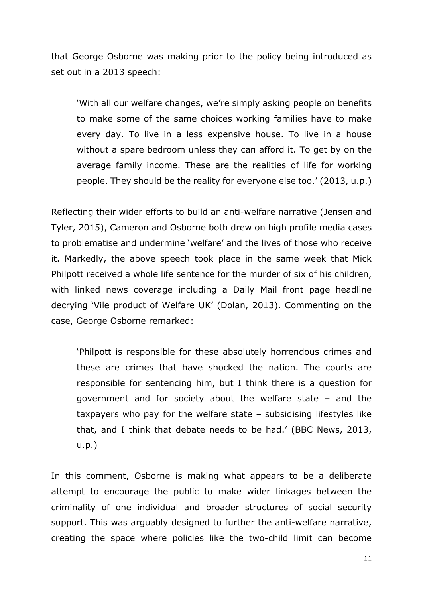that George Osborne was making prior to the policy being introduced as set out in a 2013 speech:

'With all our welfare changes, we're simply asking people on benefits to make some of the same choices working families have to make every day. To live in a less expensive house. To live in a house without a spare bedroom unless they can afford it. To get by on the average family income. These are the realities of life for working people. They should be the reality for everyone else too.' (2013, u.p.)

Reflecting their wider efforts to build an anti-welfare narrative (Jensen and Tyler, 2015), Cameron and Osborne both drew on high profile media cases to problematise and undermine 'welfare' and the lives of those who receive it. Markedly, the above speech took place in the same week that Mick Philpott received a whole life sentence for the murder of six of his children, with linked news coverage including a Daily Mail front page headline decrying 'Vile product of Welfare UK' (Dolan, 2013). Commenting on the case, George Osborne remarked:

'Philpott is responsible for these absolutely horrendous crimes and these are crimes that have shocked the nation. The courts are responsible for sentencing him, but I think there is a question for government and for society about the welfare state – and the taxpayers who pay for the welfare state – subsidising lifestyles like that, and I think that debate needs to be had.' (BBC News, 2013, u.p.)

In this comment, Osborne is making what appears to be a deliberate attempt to encourage the public to make wider linkages between the criminality of one individual and broader structures of social security support. This was arguably designed to further the anti-welfare narrative, creating the space where policies like the two-child limit can become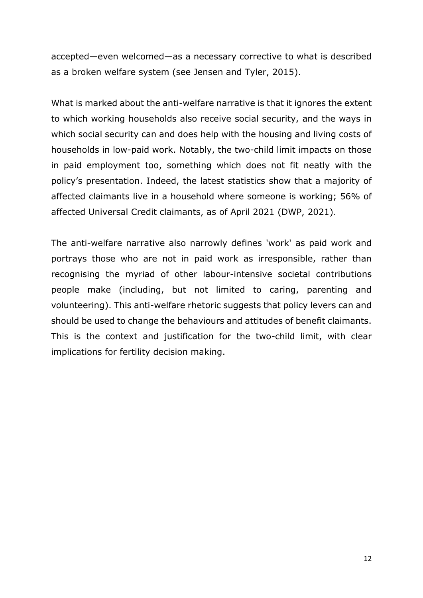accepted—even welcomed—as a necessary corrective to what is described as a broken welfare system (see Jensen and Tyler, 2015).

What is marked about the anti-welfare narrative is that it ignores the extent to which working households also receive social security, and the ways in which social security can and does help with the housing and living costs of households in low-paid work. Notably, the two-child limit impacts on those in paid employment too, something which does not fit neatly with the policy's presentation. Indeed, the latest statistics show that a majority of affected claimants live in a household where someone is working; 56% of affected Universal Credit claimants, as of April 2021 (DWP, 2021).

The anti-welfare narrative also narrowly defines 'work' as paid work and portrays those who are not in paid work as irresponsible, rather than recognising the myriad of other labour-intensive societal contributions people make (including, but not limited to caring, parenting and volunteering). This anti-welfare rhetoric suggests that policy levers can and should be used to change the behaviours and attitudes of benefit claimants. This is the context and justification for the two-child limit, with clear implications for fertility decision making.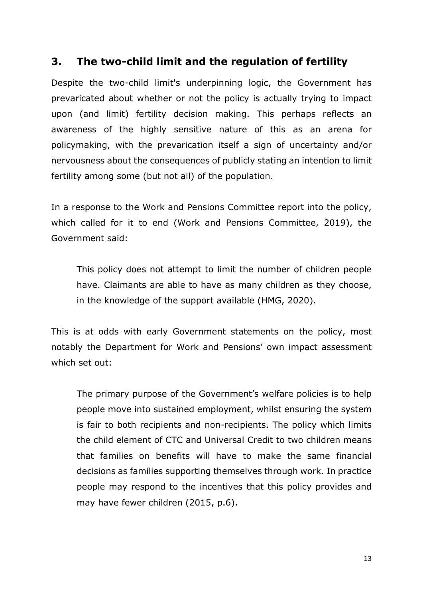## <span id="page-12-0"></span>**3. The two-child limit and the regulation of fertility**

Despite the two-child limit's underpinning logic, the Government has prevaricated about whether or not the policy is actually trying to impact upon (and limit) fertility decision making. This perhaps reflects an awareness of the highly sensitive nature of this as an arena for policymaking, with the prevarication itself a sign of uncertainty and/or nervousness about the consequences of publicly stating an intention to limit fertility among some (but not all) of the population.

In a response to the Work and Pensions Committee report into the policy, which called for it to end (Work and Pensions Committee, 2019), the Government said:

This policy does not attempt to limit the number of children people have. Claimants are able to have as many children as they choose, in the knowledge of the support available (HMG, 2020).

This is at odds with early Government statements on the policy, most notably the Department for Work and Pensions' own impact assessment which set out:

The primary purpose of the Government's welfare policies is to help people move into sustained employment, whilst ensuring the system is fair to both recipients and non-recipients. The policy which limits the child element of CTC and Universal Credit to two children means that families on benefits will have to make the same financial decisions as families supporting themselves through work. In practice people may respond to the incentives that this policy provides and may have fewer children (2015, p.6).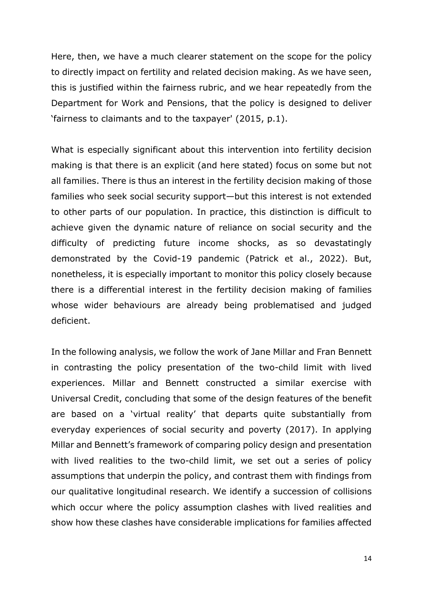Here, then, we have a much clearer statement on the scope for the policy to directly impact on fertility and related decision making. As we have seen, this is justified within the fairness rubric, and we hear repeatedly from the Department for Work and Pensions, that the policy is designed to deliver 'fairness to claimants and to the taxpayer' (2015, p.1).

What is especially significant about this intervention into fertility decision making is that there is an explicit (and here stated) focus on some but not all families. There is thus an interest in the fertility decision making of those families who seek social security support—but this interest is not extended to other parts of our population. In practice, this distinction is difficult to achieve given the dynamic nature of reliance on social security and the difficulty of predicting future income shocks, as so devastatingly demonstrated by the Covid-19 pandemic (Patrick et al., 2022). But, nonetheless, it is especially important to monitor this policy closely because there is a differential interest in the fertility decision making of families whose wider behaviours are already being problematised and judged deficient.

In the following analysis, we follow the work of Jane Millar and Fran Bennett in contrasting the policy presentation of the two-child limit with lived experiences. Millar and Bennett constructed a similar exercise with Universal Credit, concluding that some of the design features of the benefit are based on a 'virtual reality' that departs quite substantially from everyday experiences of social security and poverty (2017). In applying Millar and Bennett's framework of comparing policy design and presentation with lived realities to the two-child limit, we set out a series of policy assumptions that underpin the policy, and contrast them with findings from our qualitative longitudinal research. We identify a succession of collisions which occur where the policy assumption clashes with lived realities and show how these clashes have considerable implications for families affected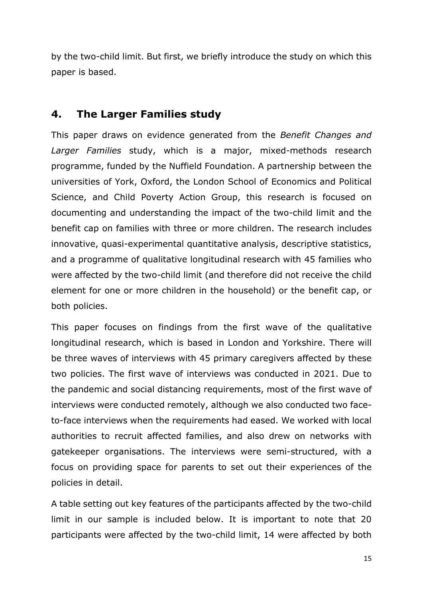by the two-child limit. But first, we briefly introduce the study on which this paper is based.

### <span id="page-14-0"></span>**4. The Larger Families study**

This paper draws on evidence generated from the *Benefit Changes and Larger Families* study, which is a major, mixed-methods research programme, funded by the Nuffield Foundation. A partnership between the universities of York, Oxford, the London School of Economics and Political Science, and Child Poverty Action Group, this research is focused on documenting and understanding the impact of the two-child limit and the benefit cap on families with three or more children. The research includes innovative, quasi-experimental quantitative analysis, descriptive statistics, and a programme of qualitative longitudinal research with 45 families who were affected by the two-child limit (and therefore did not receive the child element for one or more children in the household) or the benefit cap, or both policies.

This paper focuses on findings from the first wave of the qualitative longitudinal research, which is based in London and Yorkshire. There will be three waves of interviews with 45 primary caregivers affected by these two policies. The first wave of interviews was conducted in 2021. Due to the pandemic and social distancing requirements, most of the first wave of interviews were conducted remotely, although we also conducted two faceto-face interviews when the requirements had eased. We worked with local authorities to recruit affected families, and also drew on networks with gatekeeper organisations. The interviews were semi-structured, with a focus on providing space for parents to set out their experiences of the policies in detail.

A table setting out key features of the participants affected by the two-child limit in our sample is included below. It is important to note that 20 participants were affected by the two-child limit, 14 were affected by both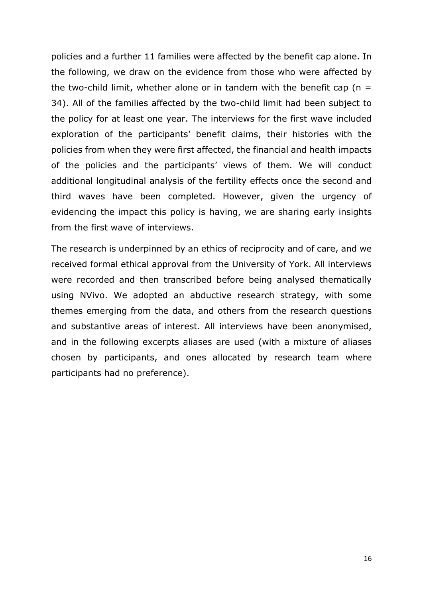policies and a further 11 families were affected by the benefit cap alone. In the following, we draw on the evidence from those who were affected by the two-child limit, whether alone or in tandem with the benefit cap ( $n =$ 34). All of the families affected by the two-child limit had been subject to the policy for at least one year. The interviews for the first wave included exploration of the participants' benefit claims, their histories with the policies from when they were first affected, the financial and health impacts of the policies and the participants' views of them. We will conduct additional longitudinal analysis of the fertility effects once the second and third waves have been completed. However, given the urgency of evidencing the impact this policy is having, we are sharing early insights from the first wave of interviews.

The research is underpinned by an ethics of reciprocity and of care, and we received formal ethical approval from the University of York. All interviews were recorded and then transcribed before being analysed thematically using NVivo. We adopted an abductive research strategy, with some themes emerging from the data, and others from the research questions and substantive areas of interest. All interviews have been anonymised, and in the following excerpts aliases are used (with a mixture of aliases chosen by participants, and ones allocated by research team where participants had no preference).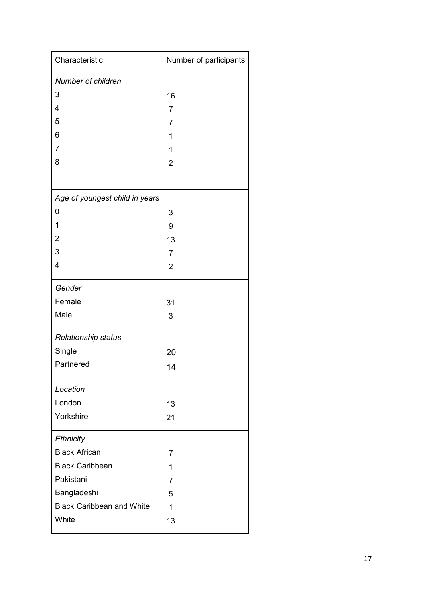| Characteristic                   | Number of participants |
|----------------------------------|------------------------|
| Number of children               |                        |
| 3                                | 16                     |
| 4                                | 7                      |
| 5                                | 7                      |
| 6                                | 1                      |
| 7                                | 1                      |
| 8                                | $\overline{2}$         |
|                                  |                        |
| Age of youngest child in years   |                        |
| 0                                | 3                      |
| 1                                | 9                      |
| $\overline{2}$                   | 13                     |
| 3                                | $\overline{7}$         |
| 4                                | $\overline{2}$         |
| Gender                           |                        |
| Female                           | 31                     |
| Male                             | 3                      |
| Relationship status              |                        |
| Single                           | 20                     |
| Partnered                        | 14                     |
| Location                         |                        |
| London                           | 13                     |
| Yorkshire                        | 21                     |
| Ethnicity                        |                        |
| <b>Black African</b>             | 7                      |
| <b>Black Caribbean</b>           | 1                      |
| Pakistani                        | 7                      |
| Bangladeshi                      | 5                      |
| <b>Black Caribbean and White</b> | 1                      |
| White                            | 13                     |
|                                  |                        |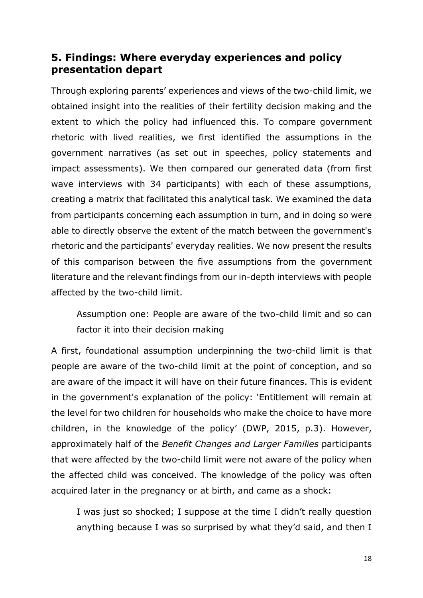## <span id="page-17-0"></span>**5. Findings: Where everyday experiences and policy presentation depart**

Through exploring parents' experiences and views of the two-child limit, we obtained insight into the realities of their fertility decision making and the extent to which the policy had influenced this. To compare government rhetoric with lived realities, we first identified the assumptions in the government narratives (as set out in speeches, policy statements and impact assessments). We then compared our generated data (from first wave interviews with 34 participants) with each of these assumptions, creating a matrix that facilitated this analytical task. We examined the data from participants concerning each assumption in turn, and in doing so were able to directly observe the extent of the match between the government's rhetoric and the participants' everyday realities. We now present the results of this comparison between the five assumptions from the government literature and the relevant findings from our in-depth interviews with people affected by the two-child limit.

Assumption one: People are aware of the two-child limit and so can factor it into their decision making

A first, foundational assumption underpinning the two-child limit is that people are aware of the two-child limit at the point of conception, and so are aware of the impact it will have on their future finances. This is evident in the government's explanation of the policy: 'Entitlement will remain at the level for two children for households who make the choice to have more children, in the knowledge of the policy' (DWP, 2015, p.3). However, approximately half of the *Benefit Changes and Larger Families* participants that were affected by the two-child limit were not aware of the policy when the affected child was conceived. The knowledge of the policy was often acquired later in the pregnancy or at birth, and came as a shock:

I was just so shocked; I suppose at the time I didn't really question anything because I was so surprised by what they'd said, and then I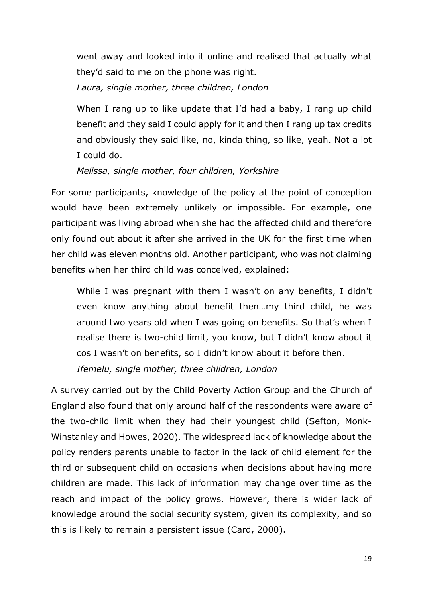went away and looked into it online and realised that actually what they'd said to me on the phone was right.

*Laura, single mother, three children, London*

When I rang up to like update that I'd had a baby, I rang up child benefit and they said I could apply for it and then I rang up tax credits and obviously they said like, no, kinda thing, so like, yeah. Not a lot I could do.

*Melissa, single mother, four children, Yorkshire*

For some participants, knowledge of the policy at the point of conception would have been extremely unlikely or impossible. For example, one participant was living abroad when she had the affected child and therefore only found out about it after she arrived in the UK for the first time when her child was eleven months old. Another participant, who was not claiming benefits when her third child was conceived, explained:

While I was pregnant with them I wasn't on any benefits, I didn't even know anything about benefit then…my third child, he was around two years old when I was going on benefits. So that's when I realise there is two-child limit, you know, but I didn't know about it cos I wasn't on benefits, so I didn't know about it before then.

*Ifemelu, single mother, three children, London*

A survey carried out by the Child Poverty Action Group and the Church of England also found that only around half of the respondents were aware of the two-child limit when they had their youngest child (Sefton, Monk-Winstanley and Howes, 2020). The widespread lack of knowledge about the policy renders parents unable to factor in the lack of child element for the third or subsequent child on occasions when decisions about having more children are made. This lack of information may change over time as the reach and impact of the policy grows. However, there is wider lack of knowledge around the social security system, given its complexity, and so this is likely to remain a persistent issue (Card, 2000).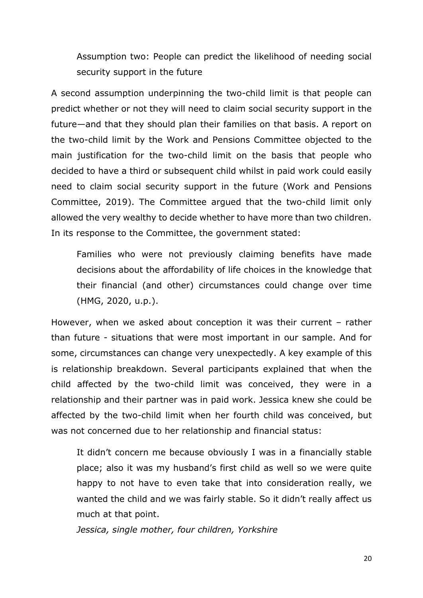Assumption two: People can predict the likelihood of needing social security support in the future

A second assumption underpinning the two-child limit is that people can predict whether or not they will need to claim social security support in the future—and that they should plan their families on that basis. A report on the two-child limit by the Work and Pensions Committee objected to the main justification for the two-child limit on the basis that people who decided to have a third or subsequent child whilst in paid work could easily need to claim social security support in the future (Work and Pensions Committee, 2019). The Committee argued that the two-child limit only allowed the very wealthy to decide whether to have more than two children. In its response to the Committee, the government stated:

Families who were not previously claiming benefits have made decisions about the affordability of life choices in the knowledge that their financial (and other) circumstances could change over time (HMG, 2020, u.p.).

However, when we asked about conception it was their current – rather than future - situations that were most important in our sample. And for some, circumstances can change very unexpectedly. A key example of this is relationship breakdown. Several participants explained that when the child affected by the two-child limit was conceived, they were in a relationship and their partner was in paid work. Jessica knew she could be affected by the two-child limit when her fourth child was conceived, but was not concerned due to her relationship and financial status:

It didn't concern me because obviously I was in a financially stable place; also it was my husband's first child as well so we were quite happy to not have to even take that into consideration really, we wanted the child and we was fairly stable. So it didn't really affect us much at that point.

*Jessica, single mother, four children, Yorkshire*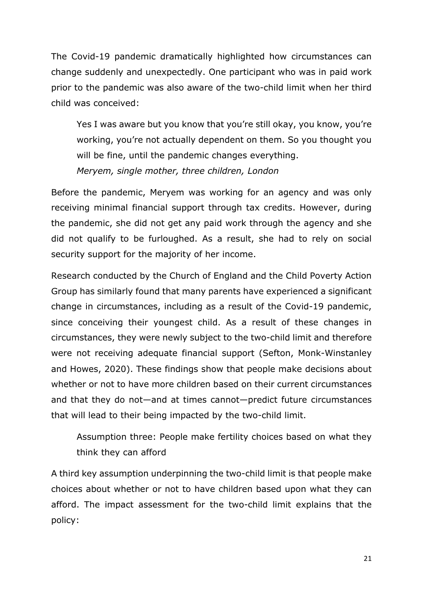The Covid-19 pandemic dramatically highlighted how circumstances can change suddenly and unexpectedly. One participant who was in paid work prior to the pandemic was also aware of the two-child limit when her third child was conceived:

Yes I was aware but you know that you're still okay, you know, you're working, you're not actually dependent on them. So you thought you will be fine, until the pandemic changes everything. *Meryem, single mother, three children, London*

Before the pandemic, Meryem was working for an agency and was only receiving minimal financial support through tax credits. However, during the pandemic, she did not get any paid work through the agency and she did not qualify to be furloughed. As a result, she had to rely on social security support for the majority of her income.

Research conducted by the Church of England and the Child Poverty Action Group has similarly found that many parents have experienced a significant change in circumstances, including as a result of the Covid-19 pandemic, since conceiving their youngest child. As a result of these changes in circumstances, they were newly subject to the two-child limit and therefore were not receiving adequate financial support (Sefton, Monk-Winstanley and Howes, 2020). These findings show that people make decisions about whether or not to have more children based on their current circumstances and that they do not—and at times cannot—predict future circumstances that will lead to their being impacted by the two-child limit.

Assumption three: People make fertility choices based on what they think they can afford

A third key assumption underpinning the two-child limit is that people make choices about whether or not to have children based upon what they can afford. The impact assessment for the two-child limit explains that the policy: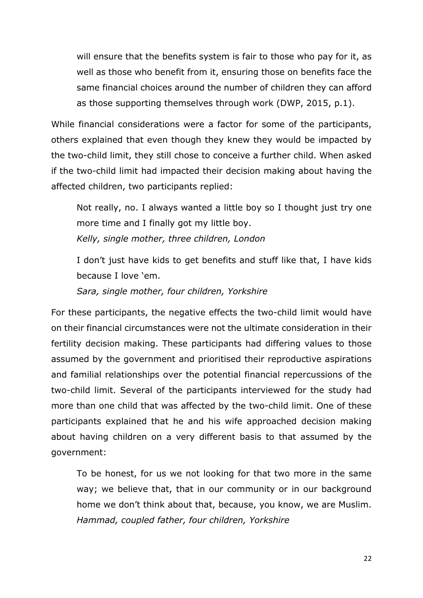will ensure that the benefits system is fair to those who pay for it, as well as those who benefit from it, ensuring those on benefits face the same financial choices around the number of children they can afford as those supporting themselves through work (DWP, 2015, p.1).

While financial considerations were a factor for some of the participants, others explained that even though they knew they would be impacted by the two-child limit, they still chose to conceive a further child. When asked if the two-child limit had impacted their decision making about having the affected children, two participants replied:

Not really, no. I always wanted a little boy so I thought just try one more time and I finally got my little boy. *Kelly, single mother, three children, London*

I don't just have kids to get benefits and stuff like that, I have kids because I love 'em.

*Sara, single mother, four children, Yorkshire*

For these participants, the negative effects the two-child limit would have on their financial circumstances were not the ultimate consideration in their fertility decision making. These participants had differing values to those assumed by the government and prioritised their reproductive aspirations and familial relationships over the potential financial repercussions of the two-child limit. Several of the participants interviewed for the study had more than one child that was affected by the two-child limit. One of these participants explained that he and his wife approached decision making about having children on a very different basis to that assumed by the government:

To be honest, for us we not looking for that two more in the same way; we believe that, that in our community or in our background home we don't think about that, because, you know, we are Muslim. *Hammad, coupled father, four children, Yorkshire*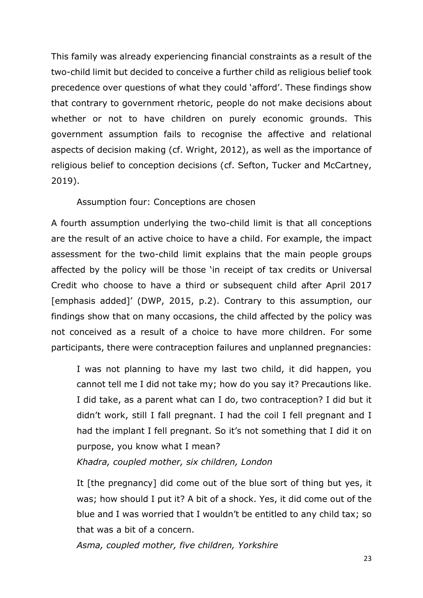This family was already experiencing financial constraints as a result of the two-child limit but decided to conceive a further child as religious belief took precedence over questions of what they could 'afford'. These findings show that contrary to government rhetoric, people do not make decisions about whether or not to have children on purely economic grounds. This government assumption fails to recognise the affective and relational aspects of decision making (cf. Wright, 2012), as well as the importance of religious belief to conception decisions (cf. Sefton, Tucker and McCartney, 2019).

#### Assumption four: Conceptions are chosen

A fourth assumption underlying the two-child limit is that all conceptions are the result of an active choice to have a child. For example, the impact assessment for the two-child limit explains that the main people groups affected by the policy will be those 'in receipt of tax credits or Universal Credit who choose to have a third or subsequent child after April 2017 [emphasis added]' (DWP, 2015, p.2). Contrary to this assumption, our findings show that on many occasions, the child affected by the policy was not conceived as a result of a choice to have more children. For some participants, there were contraception failures and unplanned pregnancies:

I was not planning to have my last two child, it did happen, you cannot tell me I did not take my; how do you say it? Precautions like. I did take, as a parent what can I do, two contraception? I did but it didn't work, still I fall pregnant. I had the coil I fell pregnant and I had the implant I fell pregnant. So it's not something that I did it on purpose, you know what I mean?

*Khadra, coupled mother, six children, London*

It [the pregnancy] did come out of the blue sort of thing but yes, it was; how should I put it? A bit of a shock. Yes, it did come out of the blue and I was worried that I wouldn't be entitled to any child tax; so that was a bit of a concern.

*Asma, coupled mother, five children, Yorkshire*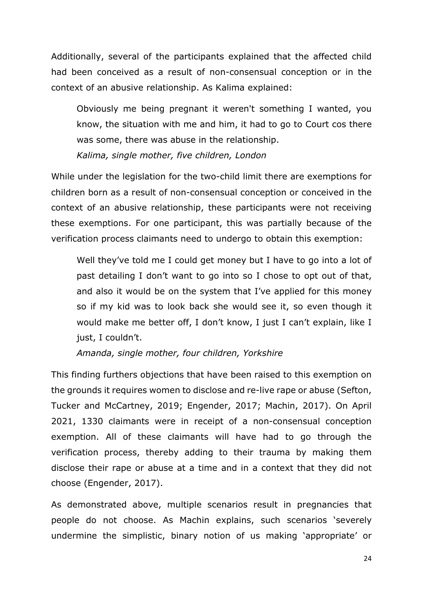Additionally, several of the participants explained that the affected child had been conceived as a result of non-consensual conception or in the context of an abusive relationship. As Kalima explained:

Obviously me being pregnant it weren't something I wanted, you know, the situation with me and him, it had to go to Court cos there was some, there was abuse in the relationship.

*Kalima, single mother, five children, London*

While under the legislation for the two-child limit there are exemptions for children born as a result of non-consensual conception or conceived in the context of an abusive relationship, these participants were not receiving these exemptions. For one participant, this was partially because of the verification process claimants need to undergo to obtain this exemption:

Well they've told me I could get money but I have to go into a lot of past detailing I don't want to go into so I chose to opt out of that, and also it would be on the system that I've applied for this money so if my kid was to look back she would see it, so even though it would make me better off, I don't know, I just I can't explain, like I just, I couldn't.

*Amanda, single mother, four children, Yorkshire*

This finding furthers objections that have been raised to this exemption on the grounds it requires women to disclose and re-live rape or abuse (Sefton, Tucker and McCartney, 2019; Engender, 2017; Machin, 2017). On April 2021, 1330 claimants were in receipt of a non-consensual conception exemption. All of these claimants will have had to go through the verification process, thereby adding to their trauma by making them disclose their rape or abuse at a time and in a context that they did not choose (Engender, 2017).

As demonstrated above, multiple scenarios result in pregnancies that people do not choose. As Machin explains, such scenarios 'severely undermine the simplistic, binary notion of us making 'appropriate' or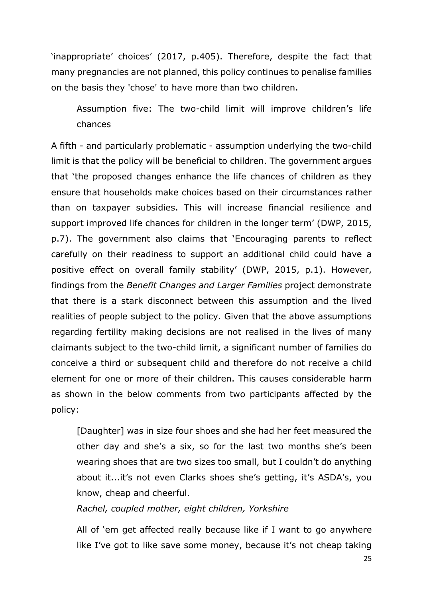'inappropriate' choices' (2017, p.405). Therefore, despite the fact that many pregnancies are not planned, this policy continues to penalise families on the basis they 'chose' to have more than two children.

Assumption five: The two-child limit will improve children's life chances

A fifth - and particularly problematic - assumption underlying the two-child limit is that the policy will be beneficial to children. The government argues that 'the proposed changes enhance the life chances of children as they ensure that households make choices based on their circumstances rather than on taxpayer subsidies. This will increase financial resilience and support improved life chances for children in the longer term' (DWP, 2015, p.7). The government also claims that 'Encouraging parents to reflect carefully on their readiness to support an additional child could have a positive effect on overall family stability' (DWP, 2015, p.1). However, findings from the *Benefit Changes and Larger Families* project demonstrate that there is a stark disconnect between this assumption and the lived realities of people subject to the policy. Given that the above assumptions regarding fertility making decisions are not realised in the lives of many claimants subject to the two-child limit, a significant number of families do conceive a third or subsequent child and therefore do not receive a child element for one or more of their children. This causes considerable harm as shown in the below comments from two participants affected by the policy:

[Daughter] was in size four shoes and she had her feet measured the other day and she's a six, so for the last two months she's been wearing shoes that are two sizes too small, but I couldn't do anything about it...it's not even Clarks shoes she's getting, it's ASDA's, you know, cheap and cheerful.

#### *Rachel, coupled mother, eight children, Yorkshire*

All of 'em get affected really because like if I want to go anywhere like I've got to like save some money, because it's not cheap taking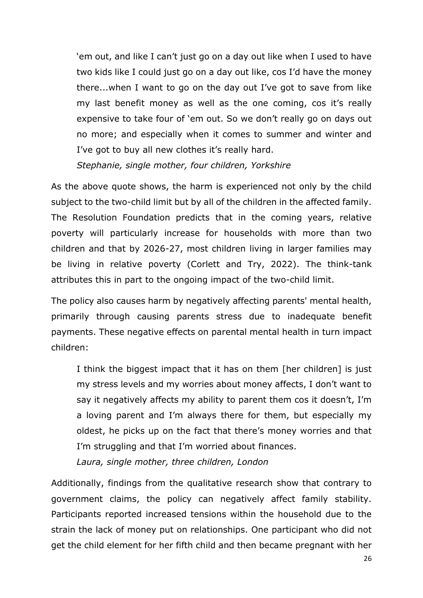'em out, and like I can't just go on a day out like when I used to have two kids like I could just go on a day out like, cos I'd have the money there...when I want to go on the day out I've got to save from like my last benefit money as well as the one coming, cos it's really expensive to take four of 'em out. So we don't really go on days out no more; and especially when it comes to summer and winter and I've got to buy all new clothes it's really hard.

*Stephanie, single mother, four children, Yorkshire*

As the above quote shows, the harm is experienced not only by the child subject to the two-child limit but by all of the children in the affected family. The Resolution Foundation predicts that in the coming years, relative poverty will particularly increase for households with more than two children and that by 2026-27, most children living in larger families may be living in relative poverty (Corlett and Try, 2022). The think-tank attributes this in part to the ongoing impact of the two-child limit.

The policy also causes harm by negatively affecting parents' mental health, primarily through causing parents stress due to inadequate benefit payments. These negative effects on parental mental health in turn impact children:

I think the biggest impact that it has on them [her children] is just my stress levels and my worries about money affects, I don't want to say it negatively affects my ability to parent them cos it doesn't, I'm a loving parent and I'm always there for them, but especially my oldest, he picks up on the fact that there's money worries and that I'm struggling and that I'm worried about finances.

*Laura, single mother, three children, London*

Additionally, findings from the qualitative research show that contrary to government claims, the policy can negatively affect family stability. Participants reported increased tensions within the household due to the strain the lack of money put on relationships. One participant who did not get the child element for her fifth child and then became pregnant with her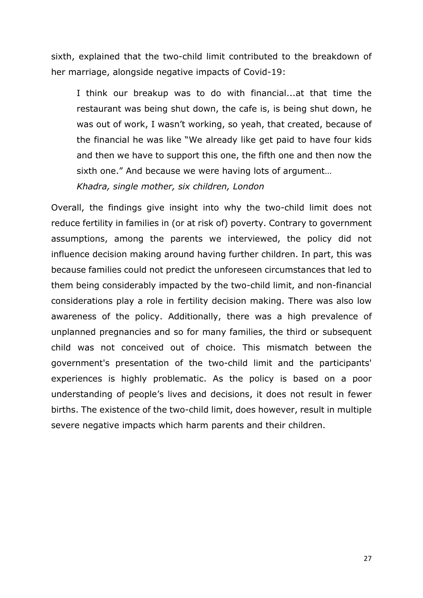sixth, explained that the two-child limit contributed to the breakdown of her marriage, alongside negative impacts of Covid-19:

I think our breakup was to do with financial...at that time the restaurant was being shut down, the cafe is, is being shut down, he was out of work, I wasn't working, so yeah, that created, because of the financial he was like "We already like get paid to have four kids and then we have to support this one, the fifth one and then now the sixth one." And because we were having lots of argument…

*Khadra, single mother, six children, London*

Overall, the findings give insight into why the two-child limit does not reduce fertility in families in (or at risk of) poverty. Contrary to government assumptions, among the parents we interviewed, the policy did not influence decision making around having further children. In part, this was because families could not predict the unforeseen circumstances that led to them being considerably impacted by the two-child limit, and non-financial considerations play a role in fertility decision making. There was also low awareness of the policy. Additionally, there was a high prevalence of unplanned pregnancies and so for many families, the third or subsequent child was not conceived out of choice. This mismatch between the government's presentation of the two-child limit and the participants' experiences is highly problematic. As the policy is based on a poor understanding of people's lives and decisions, it does not result in fewer births. The existence of the two-child limit, does however, result in multiple severe negative impacts which harm parents and their children.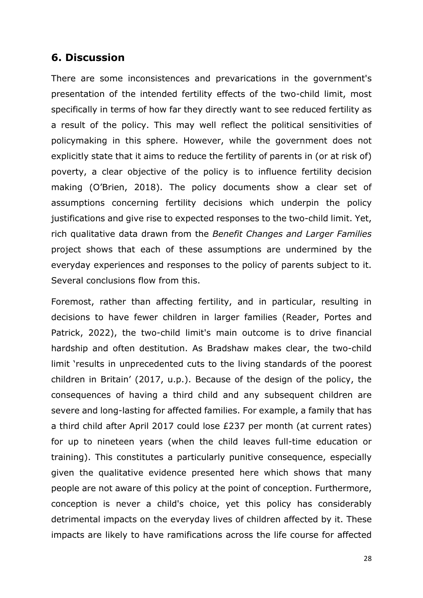### <span id="page-27-0"></span>**6. Discussion**

There are some inconsistences and prevarications in the government's presentation of the intended fertility effects of the two-child limit, most specifically in terms of how far they directly want to see reduced fertility as a result of the policy. This may well reflect the political sensitivities of policymaking in this sphere. However, while the government does not explicitly state that it aims to reduce the fertility of parents in (or at risk of) poverty, a clear objective of the policy is to influence fertility decision making (O'Brien, 2018). The policy documents show a clear set of assumptions concerning fertility decisions which underpin the policy justifications and give rise to expected responses to the two-child limit. Yet, rich qualitative data drawn from the *Benefit Changes and Larger Families* project shows that each of these assumptions are undermined by the everyday experiences and responses to the policy of parents subject to it. Several conclusions flow from this.

Foremost, rather than affecting fertility, and in particular, resulting in decisions to have fewer children in larger families (Reader, Portes and Patrick, 2022), the two-child limit's main outcome is to drive financial hardship and often destitution. As Bradshaw makes clear, the two-child limit 'results in unprecedented cuts to the living standards of the poorest children in Britain' (2017, u.p.). Because of the design of the policy, the consequences of having a third child and any subsequent children are severe and long-lasting for affected families. For example, a family that has a third child after April 2017 could lose £237 per month (at current rates) for up to nineteen years (when the child leaves full-time education or training). This constitutes a particularly punitive consequence, especially given the qualitative evidence presented here which shows that many people are not aware of this policy at the point of conception. Furthermore, conception is never a child's choice, yet this policy has considerably detrimental impacts on the everyday lives of children affected by it. These impacts are likely to have ramifications across the life course for affected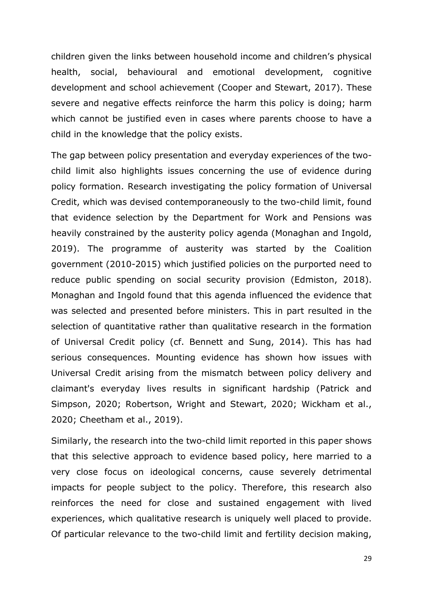children given the links between household income and children's physical health, social, behavioural and emotional development, cognitive development and school achievement (Cooper and Stewart, 2017). These severe and negative effects reinforce the harm this policy is doing; harm which cannot be justified even in cases where parents choose to have a child in the knowledge that the policy exists.

The gap between policy presentation and everyday experiences of the twochild limit also highlights issues concerning the use of evidence during policy formation. Research investigating the policy formation of Universal Credit, which was devised contemporaneously to the two-child limit, found that evidence selection by the Department for Work and Pensions was heavily constrained by the austerity policy agenda (Monaghan and Ingold, 2019). The programme of austerity was started by the Coalition government (2010-2015) which justified policies on the purported need to reduce public spending on social security provision (Edmiston, 2018). Monaghan and Ingold found that this agenda influenced the evidence that was selected and presented before ministers. This in part resulted in the selection of quantitative rather than qualitative research in the formation of Universal Credit policy (cf. Bennett and Sung, 2014). This has had serious consequences. Mounting evidence has shown how issues with Universal Credit arising from the mismatch between policy delivery and claimant's everyday lives results in significant hardship (Patrick and Simpson, 2020; Robertson, Wright and Stewart, 2020; Wickham et al., 2020; Cheetham et al., 2019).

Similarly, the research into the two-child limit reported in this paper shows that this selective approach to evidence based policy, here married to a very close focus on ideological concerns, cause severely detrimental impacts for people subject to the policy. Therefore, this research also reinforces the need for close and sustained engagement with lived experiences, which qualitative research is uniquely well placed to provide. Of particular relevance to the two-child limit and fertility decision making,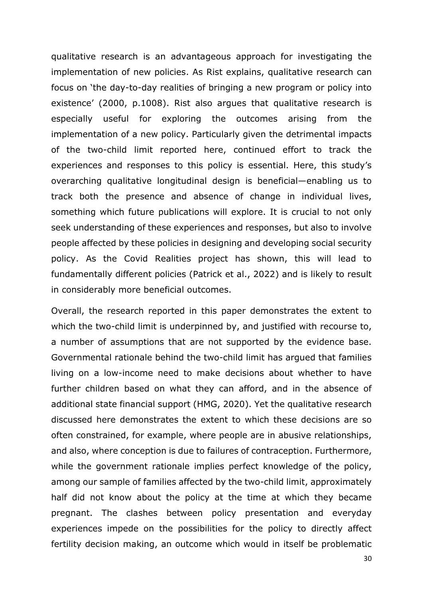qualitative research is an advantageous approach for investigating the implementation of new policies. As Rist explains, qualitative research can focus on 'the day-to-day realities of bringing a new program or policy into existence' (2000, p.1008). Rist also argues that qualitative research is especially useful for exploring the outcomes arising from the implementation of a new policy. Particularly given the detrimental impacts of the two-child limit reported here, continued effort to track the experiences and responses to this policy is essential. Here, this study's overarching qualitative longitudinal design is beneficial—enabling us to track both the presence and absence of change in individual lives, something which future publications will explore. It is crucial to not only seek understanding of these experiences and responses, but also to involve people affected by these policies in designing and developing social security policy. As the Covid Realities project has shown, this will lead to fundamentally different policies (Patrick et al., 2022) and is likely to result in considerably more beneficial outcomes.

Overall, the research reported in this paper demonstrates the extent to which the two-child limit is underpinned by, and justified with recourse to, a number of assumptions that are not supported by the evidence base. Governmental rationale behind the two-child limit has argued that families living on a low-income need to make decisions about whether to have further children based on what they can afford, and in the absence of additional state financial support (HMG, 2020). Yet the qualitative research discussed here demonstrates the extent to which these decisions are so often constrained, for example, where people are in abusive relationships, and also, where conception is due to failures of contraception. Furthermore, while the government rationale implies perfect knowledge of the policy, among our sample of families affected by the two-child limit, approximately half did not know about the policy at the time at which they became pregnant. The clashes between policy presentation and everyday experiences impede on the possibilities for the policy to directly affect fertility decision making, an outcome which would in itself be problematic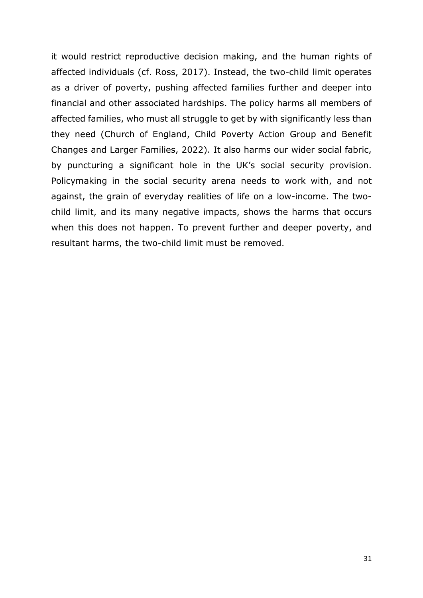it would restrict reproductive decision making, and the human rights of affected individuals (cf. Ross, 2017). Instead, the two-child limit operates as a driver of poverty, pushing affected families further and deeper into financial and other associated hardships. The policy harms all members of affected families, who must all struggle to get by with significantly less than they need (Church of England, Child Poverty Action Group and Benefit Changes and Larger Families, 2022). It also harms our wider social fabric, by puncturing a significant hole in the UK's social security provision. Policymaking in the social security arena needs to work with, and not against, the grain of everyday realities of life on a low-income. The twochild limit, and its many negative impacts, shows the harms that occurs when this does not happen. To prevent further and deeper poverty, and resultant harms, the two-child limit must be removed.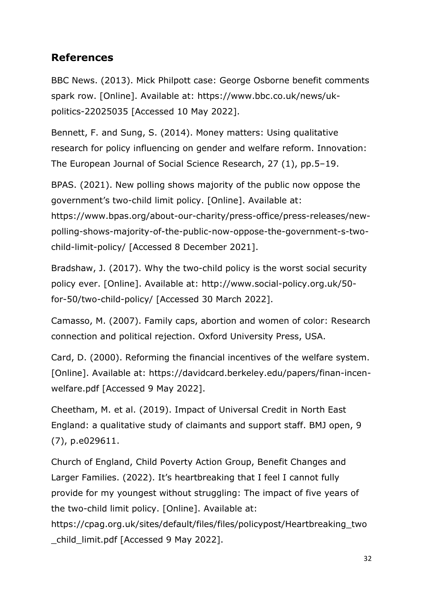## **References**

BBC News. (2013). Mick Philpott case: George Osborne benefit comments spark row. [Online]. Available at: https://www.bbc.co.uk/news/ukpolitics-22025035 [Accessed 10 May 2022].

Bennett, F. and Sung, S. (2014). Money matters: Using qualitative research for policy influencing on gender and welfare reform. Innovation: The European Journal of Social Science Research, 27 (1), pp.5–19.

BPAS. (2021). New polling shows majority of the public now oppose the government's two-child limit policy. [Online]. Available at: https://www.bpas.org/about-our-charity/press-office/press-releases/newpolling-shows-majority-of-the-public-now-oppose-the-government-s-twochild-limit-policy/ [Accessed 8 December 2021].

Bradshaw, J. (2017). Why the two-child policy is the worst social security policy ever. [Online]. Available at: http://www.social-policy.org.uk/50 for-50/two-child-policy/ [Accessed 30 March 2022].

Camasso, M. (2007). Family caps, abortion and women of color: Research connection and political rejection. Oxford University Press, USA.

Card, D. (2000). Reforming the financial incentives of the welfare system. [Online]. Available at: https://davidcard.berkeley.edu/papers/finan-incenwelfare.pdf [Accessed 9 May 2022].

Cheetham, M. et al. (2019). Impact of Universal Credit in North East England: a qualitative study of claimants and support staff. BMJ open, 9 (7), p.e029611.

Church of England, Child Poverty Action Group, Benefit Changes and Larger Families. (2022). It's heartbreaking that I feel I cannot fully provide for my youngest without struggling: The impact of five years of the two-child limit policy. [Online]. Available at:

https://cpag.org.uk/sites/default/files/files/policypost/Heartbreaking\_two \_child\_limit.pdf [Accessed 9 May 2022].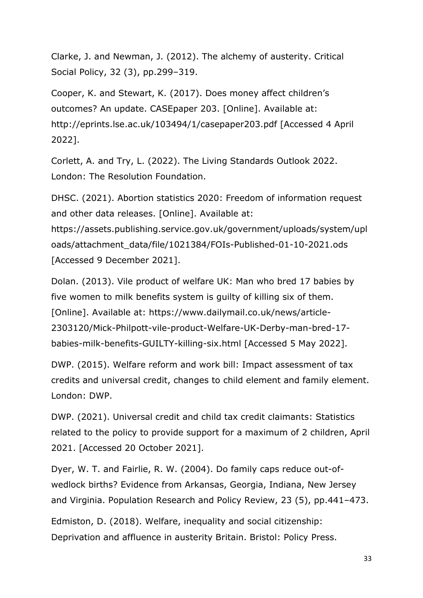Clarke, J. and Newman, J. (2012). The alchemy of austerity. Critical Social Policy, 32 (3), pp.299–319.

Cooper, K. and Stewart, K. (2017). Does money affect children's outcomes? An update. CASEpaper 203. [Online]. Available at: http://eprints.lse.ac.uk/103494/1/casepaper203.pdf [Accessed 4 April 2022].

Corlett, A. and Try, L. (2022). The Living Standards Outlook 2022. London: The Resolution Foundation.

DHSC. (2021). Abortion statistics 2020: Freedom of information request and other data releases. [Online]. Available at: https://assets.publishing.service.gov.uk/government/uploads/system/upl oads/attachment\_data/file/1021384/FOIs-Published-01-10-2021.ods [Accessed 9 December 2021].

Dolan. (2013). Vile product of welfare UK: Man who bred 17 babies by five women to milk benefits system is guilty of killing six of them. [Online]. Available at: https://www.dailymail.co.uk/news/article-2303120/Mick-Philpott-vile-product-Welfare-UK-Derby-man-bred-17 babies-milk-benefits-GUILTY-killing-six.html [Accessed 5 May 2022].

DWP. (2015). Welfare reform and work bill: Impact assessment of tax credits and universal credit, changes to child element and family element. London: DWP.

DWP. (2021). Universal credit and child tax credit claimants: Statistics related to the policy to provide support for a maximum of 2 children, April 2021. [Accessed 20 October 2021].

Dyer, W. T. and Fairlie, R. W. (2004). Do family caps reduce out-ofwedlock births? Evidence from Arkansas, Georgia, Indiana, New Jersey and Virginia. Population Research and Policy Review, 23 (5), pp.441–473.

Edmiston, D. (2018). Welfare, inequality and social citizenship: Deprivation and affluence in austerity Britain. Bristol: Policy Press.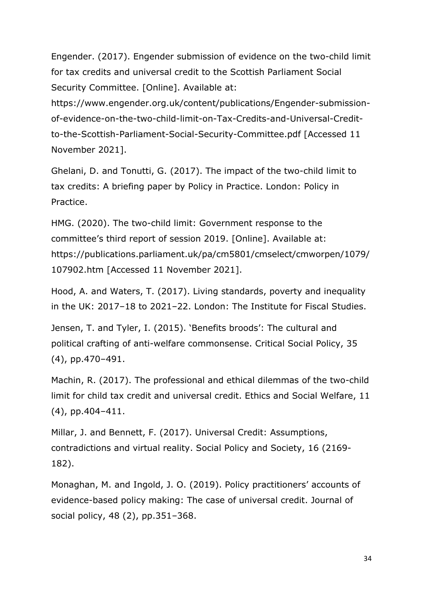Engender. (2017). Engender submission of evidence on the two-child limit for tax credits and universal credit to the Scottish Parliament Social Security Committee. [Online]. Available at:

https://www.engender.org.uk/content/publications/Engender-submissionof-evidence-on-the-two-child-limit-on-Tax-Credits-and-Universal-Creditto-the-Scottish-Parliament-Social-Security-Committee.pdf [Accessed 11 November 2021].

Ghelani, D. and Tonutti, G. (2017). The impact of the two-child limit to tax credits: A briefing paper by Policy in Practice. London: Policy in Practice.

HMG. (2020). The two-child limit: Government response to the committee's third report of session 2019. [Online]. Available at: https://publications.parliament.uk/pa/cm5801/cmselect/cmworpen/1079/ 107902.htm [Accessed 11 November 2021].

Hood, A. and Waters, T. (2017). Living standards, poverty and inequality in the UK: 2017–18 to 2021–22. London: The Institute for Fiscal Studies.

Jensen, T. and Tyler, I. (2015). 'Benefits broods': The cultural and political crafting of anti-welfare commonsense. Critical Social Policy, 35 (4), pp.470–491.

Machin, R. (2017). The professional and ethical dilemmas of the two-child limit for child tax credit and universal credit. Ethics and Social Welfare, 11 (4), pp.404–411.

Millar, J. and Bennett, F. (2017). Universal Credit: Assumptions, contradictions and virtual reality. Social Policy and Society, 16 (2169- 182).

Monaghan, M. and Ingold, J. O. (2019). Policy practitioners' accounts of evidence-based policy making: The case of universal credit. Journal of social policy, 48 (2), pp.351–368.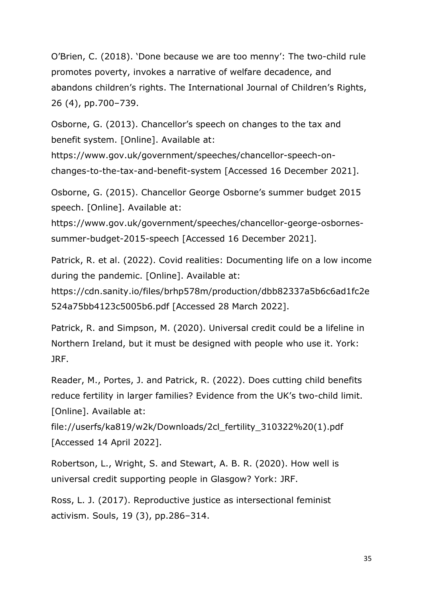O'Brien, C. (2018). 'Done because we are too menny': The two-child rule promotes poverty, invokes a narrative of welfare decadence, and abandons children's rights. The International Journal of Children's Rights, 26 (4), pp.700–739.

Osborne, G. (2013). Chancellor's speech on changes to the tax and benefit system. [Online]. Available at:

https://www.gov.uk/government/speeches/chancellor-speech-onchanges-to-the-tax-and-benefit-system [Accessed 16 December 2021].

Osborne, G. (2015). Chancellor George Osborne's summer budget 2015 speech. [Online]. Available at:

https://www.gov.uk/government/speeches/chancellor-george-osbornessummer-budget-2015-speech [Accessed 16 December 2021].

Patrick, R. et al. (2022). Covid realities: Documenting life on a low income during the pandemic. [Online]. Available at:

https://cdn.sanity.io/files/brhp578m/production/dbb82337a5b6c6ad1fc2e 524a75bb4123c5005b6.pdf [Accessed 28 March 2022].

Patrick, R. and Simpson, M. (2020). Universal credit could be a lifeline in Northern Ireland, but it must be designed with people who use it. York: JRF.

Reader, M., Portes, J. and Patrick, R. (2022). Does cutting child benefits reduce fertility in larger families? Evidence from the UK's two-child limit. [Online]. Available at:

file://userfs/ka819/w2k/Downloads/2cl\_fertility\_310322%20(1).pdf [Accessed 14 April 2022].

Robertson, L., Wright, S. and Stewart, A. B. R. (2020). How well is universal credit supporting people in Glasgow? York: JRF.

Ross, L. J. (2017). Reproductive justice as intersectional feminist activism. Souls, 19 (3), pp.286–314.